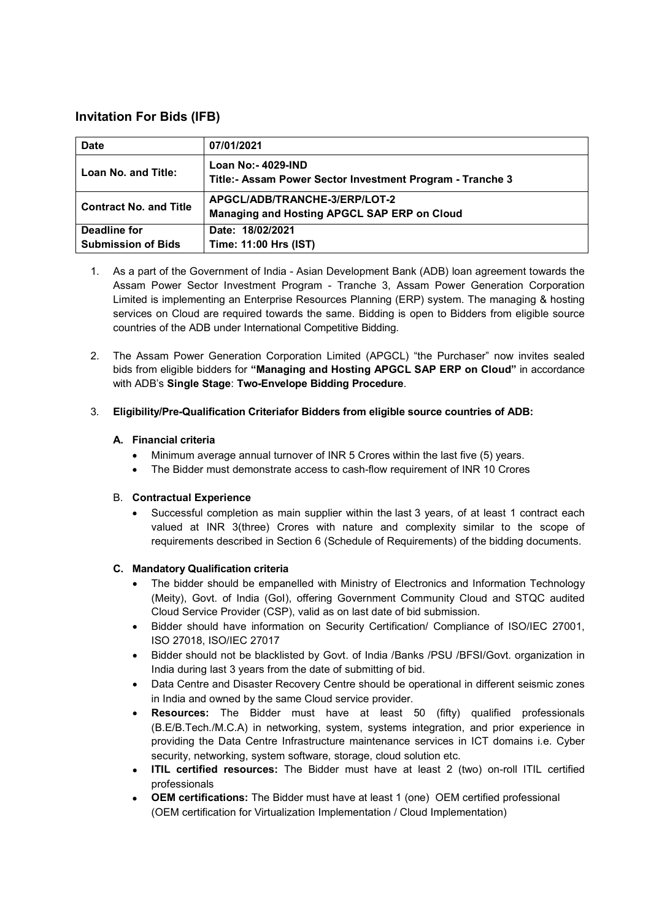# **Invitation For Bids (IFB)**

| <b>Date</b>                   | 07/01/2021                                                                      |
|-------------------------------|---------------------------------------------------------------------------------|
| Loan No. and Title:           | Loan No:- 4029-IND<br>Title:- Assam Power Sector Investment Program - Tranche 3 |
| <b>Contract No. and Title</b> | APGCL/ADB/TRANCHE-3/ERP/LOT-2<br>Managing and Hosting APGCL SAP ERP on Cloud    |
| Deadline for                  | Date: 18/02/2021                                                                |
| <b>Submission of Bids</b>     | Time: 11:00 Hrs (IST)                                                           |

- 1. As a part of the Government of India Asian Development Bank (ADB) loan agreement towards the Assam Power Sector Investment Program - Tranche 3, Assam Power Generation Corporation Limited is implementing an Enterprise Resources Planning (ERP) system. The managing & hosting services on Cloud are required towards the same. Bidding is open to Bidders from eligible source countries of the ADB under International Competitive Bidding.
- 2. The Assam Power Generation Corporation Limited (APGCL) "the Purchaser" now invites sealed bids from eligible bidders for **"Managing and Hosting APGCL SAP ERP on Cloud"** in accordance with ADB's **Single Stage**: **Two-Envelope Bidding Procedure**.

# 3. **Eligibility/Pre-Qualification Criteriafor Bidders from eligible source countries of ADB:**

# **A. Financial criteria**

- Minimum average annual turnover of INR 5 Crores within the last five (5) years.
- The Bidder must demonstrate access to cash-flow requirement of INR 10 Crores

### B. **Contractual Experience**

• Successful completion as main supplier within the last 3 years, of at least 1 contract each valued at INR 3(three) Crores with nature and complexity similar to the scope of requirements described in Section 6 (Schedule of Requirements) of the bidding documents.

### **C. Mandatory Qualification criteria**

- The bidder should be empanelled with Ministry of Electronics and Information Technology (Meity), Govt. of India (GoI), offering Government Community Cloud and STQC audited Cloud Service Provider (CSP), valid as on last date of bid submission.
- Bidder should have information on Security Certification/ Compliance of ISO/IEC 27001, ISO 27018, ISO/IEC 27017
- Bidder should not be blacklisted by Govt. of India /Banks /PSU /BFSI/Govt. organization in India during last 3 years from the date of submitting of bid.
- Data Centre and Disaster Recovery Centre should be operational in different seismic zones in India and owned by the same Cloud service provider.
- **Resources:** The Bidder must have at least 50 (fifty) qualified professionals (B.E/B.Tech./M.C.A) in networking, system, systems integration, and prior experience in providing the Data Centre Infrastructure maintenance services in ICT domains i.e. Cyber security, networking, system software, storage, cloud solution etc.
- **ITIL certified resources:** The Bidder must have at least 2 (two) on-roll ITIL certified professionals
- **OEM certifications:** The Bidder must have at least 1 (one) OEM certified professional (OEM certification for Virtualization Implementation / Cloud Implementation)